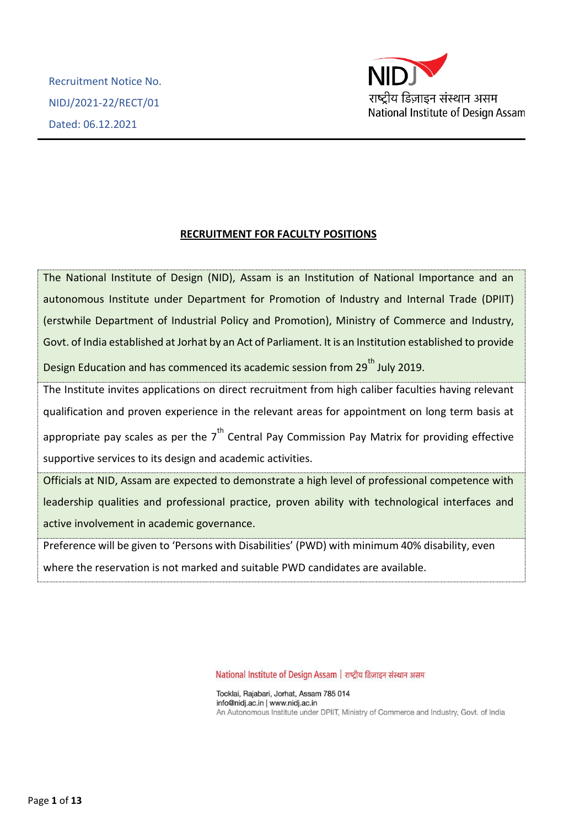

# **RECRUITMENT FOR FACULTY POSITIONS**

The National Institute of Design (NID), Assam is an Institution of National Importance and an autonomous Institute under Department for Promotion of Industry and Internal Trade (DPIIT) (erstwhile Department of Industrial Policy and Promotion), Ministry of Commerce and Industry, Govt. of India established at Jorhat by an Act of Parliament. It is an Institution established to provide Design Education and has commenced its academic session from 29<sup>th</sup> July 2019. The Institute invites applications on direct recruitment from high caliber faculties having relevant qualification and proven experience in the relevant areas for appointment on long term basis at appropriate pay scales as per the  $7<sup>th</sup>$  Central Pay Commission Pay Matrix for providing effective supportive services to its design and academic activities.

Officials at NID, Assam are expected to demonstrate a high level of professional competence with leadership qualities and professional practice, proven ability with technological interfaces and active involvement in academic governance.

Preference will be given to 'Persons with Disabilities' (PWD) with minimum 40% disability, even where the reservation is not marked and suitable PWD candidates are available.

National Institute of Design Assam | राष्ट्रीय डिज़ाइन संस्थान असम

Tocklai, Rajabari, Jorhat, Assam 785 014 info@nidj.ac.in | www.nidj.ac.in An Autonomous Institute under DPIIT, Ministry of Commerce and Industry, Govt. of India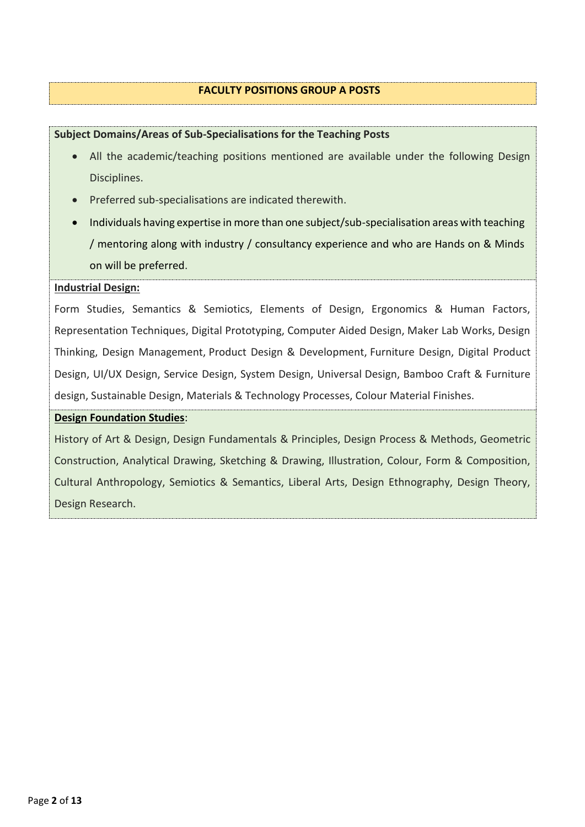#### **FACULTY POSITIONS GROUP A POSTS**

# **Subject Domains/Areas of Sub-Specialisations for the Teaching Posts**

- All the academic/teaching positions mentioned are available under the following Design Disciplines.
- Preferred sub-specialisations are indicated therewith.
- Individuals having expertise in more than one subject/sub-specialisation areas with teaching / mentoring along with industry / consultancy experience and who are Hands on & Minds on will be preferred.

# **Industrial Design:**

Form Studies, Semantics & Semiotics, Elements of Design, Ergonomics & Human Factors, Representation Techniques, Digital Prototyping, Computer Aided Design, Maker Lab Works, Design Thinking, Design Management, Product Design & Development, Furniture Design, Digital Product Design, UI/UX Design, Service Design, System Design, Universal Design, Bamboo Craft & Furniture design, Sustainable Design, Materials & Technology Processes, Colour Material Finishes.

#### **Design Foundation Studies**:

History of Art & Design, Design Fundamentals & Principles, Design Process & Methods, Geometric Construction, Analytical Drawing, Sketching & Drawing, Illustration, Colour, Form & Composition, Cultural Anthropology, Semiotics & Semantics, Liberal Arts, Design Ethnography, Design Theory, Design Research.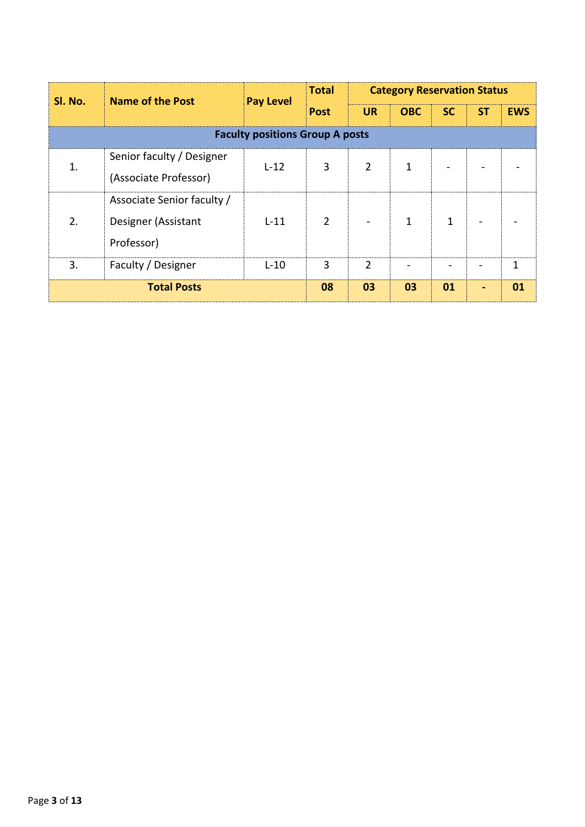| SI. No.                                | <b>Name of the Post</b>                                         | <b>Pay Level</b> | <b>Total</b>   | <b>Category Reservation Status</b> |            |              |           |            |
|----------------------------------------|-----------------------------------------------------------------|------------------|----------------|------------------------------------|------------|--------------|-----------|------------|
|                                        |                                                                 |                  | <b>Post</b>    | <b>UR</b>                          | <b>OBC</b> | <b>SC</b>    | <b>ST</b> | <b>EWS</b> |
| <b>Faculty positions Group A posts</b> |                                                                 |                  |                |                                    |            |              |           |            |
|                                        | Senior faculty / Designer<br>(Associate Professor)              | $L-12$           | 3              | $\overline{2}$                     | 1          |              |           |            |
| 2.                                     | Associate Senior faculty /<br>Designer (Assistant<br>Professor) | $L-11$           | $\overline{2}$ |                                    | 1          | $\mathbf{1}$ |           |            |
| 3.                                     | Faculty / Designer                                              | $L-10$           | 3              | $\mathcal{P}$                      |            |              |           | 1          |
|                                        | <b>Total Posts</b>                                              |                  | 08             | 03                                 | 03         | 01           |           | 01         |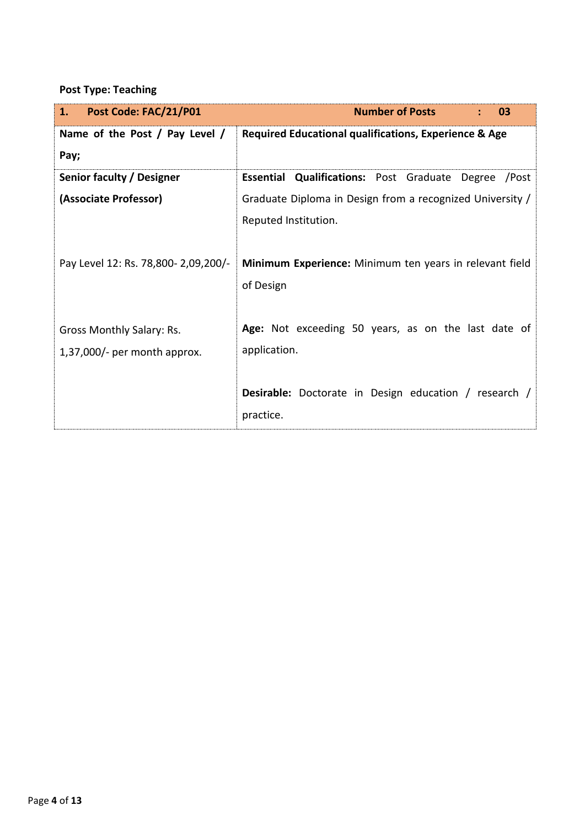# **Post Type: Teaching**

| Post Code: FAC/21/P01<br>1.         | <b>Number of Posts</b><br>03                                   |
|-------------------------------------|----------------------------------------------------------------|
| Name of the Post / Pay Level /      | Required Educational qualifications, Experience & Age          |
| Pay;                                |                                                                |
| Senior faculty / Designer           | <b>Essential Qualifications: Post Graduate Degree</b><br>/Post |
| (Associate Professor)               | Graduate Diploma in Design from a recognized University /      |
|                                     | Reputed Institution.                                           |
|                                     |                                                                |
| Pay Level 12: Rs. 78,800-2,09,200/- | Minimum Experience: Minimum ten years in relevant field        |
|                                     | of Design                                                      |
|                                     |                                                                |
| Gross Monthly Salary: Rs.           | Age: Not exceeding 50 years, as on the last date of            |
| $1,37,000/$ - per month approx.     | application.                                                   |
|                                     |                                                                |
|                                     | <b>Desirable:</b> Doctorate in Design education / research /   |
|                                     | practice.                                                      |
|                                     |                                                                |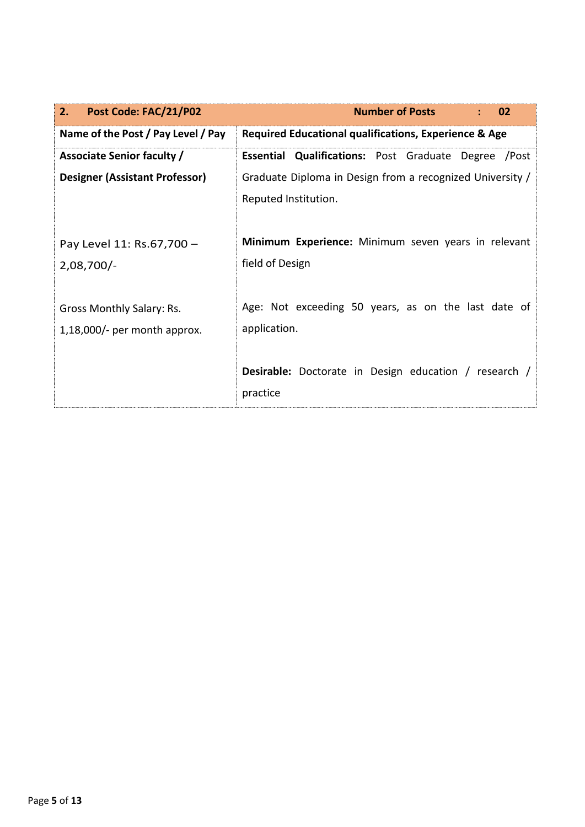| <b>Number of Posts</b><br>02                                 |  |  |  |
|--------------------------------------------------------------|--|--|--|
| Required Educational qualifications, Experience & Age        |  |  |  |
| <b>Essential Qualifications:</b> Post Graduate Degree /Post  |  |  |  |
| Graduate Diploma in Design from a recognized University /    |  |  |  |
| Reputed Institution.                                         |  |  |  |
|                                                              |  |  |  |
| Minimum Experience: Minimum seven years in relevant          |  |  |  |
| field of Design                                              |  |  |  |
|                                                              |  |  |  |
| Age: Not exceeding 50 years, as on the last date of          |  |  |  |
| application.                                                 |  |  |  |
|                                                              |  |  |  |
| <b>Desirable:</b> Doctorate in Design education / research / |  |  |  |
| practice                                                     |  |  |  |
|                                                              |  |  |  |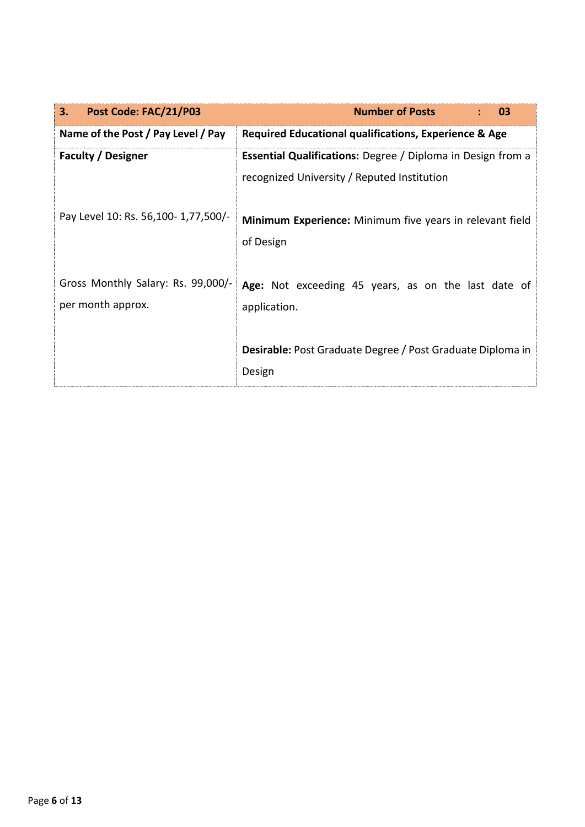| Post Code: FAC/21/P03<br>3.         | <b>Number of Posts</b><br>03                                       |  |  |  |
|-------------------------------------|--------------------------------------------------------------------|--|--|--|
| Name of the Post / Pay Level / Pay  | Required Educational qualifications, Experience & Age              |  |  |  |
| <b>Faculty / Designer</b>           | <b>Essential Qualifications:</b> Degree / Diploma in Design from a |  |  |  |
|                                     | recognized University / Reputed Institution                        |  |  |  |
| Pay Level 10: Rs. 56,100-1,77,500/- | Minimum Experience: Minimum five years in relevant field           |  |  |  |
|                                     | of Design                                                          |  |  |  |
| Gross Monthly Salary: Rs. 99,000/-  | Age: Not exceeding 45 years, as on the last date of                |  |  |  |
| per month approx.                   | application.                                                       |  |  |  |
|                                     | <b>Desirable:</b> Post Graduate Degree / Post Graduate Diploma in  |  |  |  |
|                                     | Design                                                             |  |  |  |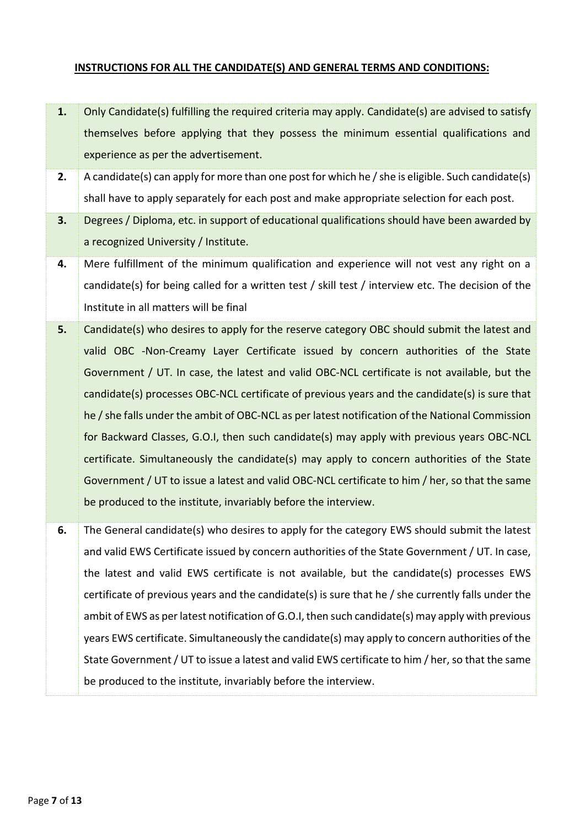# **INSTRUCTIONS FOR ALL THE CANDIDATE(S) AND GENERAL TERMS AND CONDITIONS:**

- **1.** Only Candidate(s) fulfilling the required criteria may apply. Candidate(s) are advised to satisfy themselves before applying that they possess the minimum essential qualifications and experience as per the advertisement.
- **2.** A candidate(s) can apply for more than one post for which he / she is eligible. Such candidate(s) shall have to apply separately for each post and make appropriate selection for each post.
- **3.** Degrees / Diploma, etc. in support of educational qualifications should have been awarded by a recognized University / Institute.
- **4.** Mere fulfillment of the minimum qualification and experience will not vest any right on a candidate(s) for being called for a written test / skill test / interview etc. The decision of the Institute in all matters will be final
- **5.** Candidate(s) who desires to apply for the reserve category OBC should submit the latest and valid OBC -Non-Creamy Layer Certificate issued by concern authorities of the State Government / UT. In case, the latest and valid OBC-NCL certificate is not available, but the candidate(s) processes OBC-NCL certificate of previous years and the candidate(s) is sure that he / she falls under the ambit of OBC-NCL as per latest notification of the National Commission for Backward Classes, G.O.I, then such candidate(s) may apply with previous years OBC-NCL certificate. Simultaneously the candidate(s) may apply to concern authorities of the State Government / UT to issue a latest and valid OBC-NCL certificate to him / her, so that the same be produced to the institute, invariably before the interview.
- **6.** The General candidate(s) who desires to apply for the category EWS should submit the latest and valid EWS Certificate issued by concern authorities of the State Government / UT. In case, the latest and valid EWS certificate is not available, but the candidate(s) processes EWS certificate of previous years and the candidate(s) is sure that he / she currently falls under the ambit of EWS as per latest notification of G.O.I, then such candidate(s) may apply with previous years EWS certificate. Simultaneously the candidate(s) may apply to concern authorities of the State Government / UT to issue a latest and valid EWS certificate to him / her, so that the same be produced to the institute, invariably before the interview.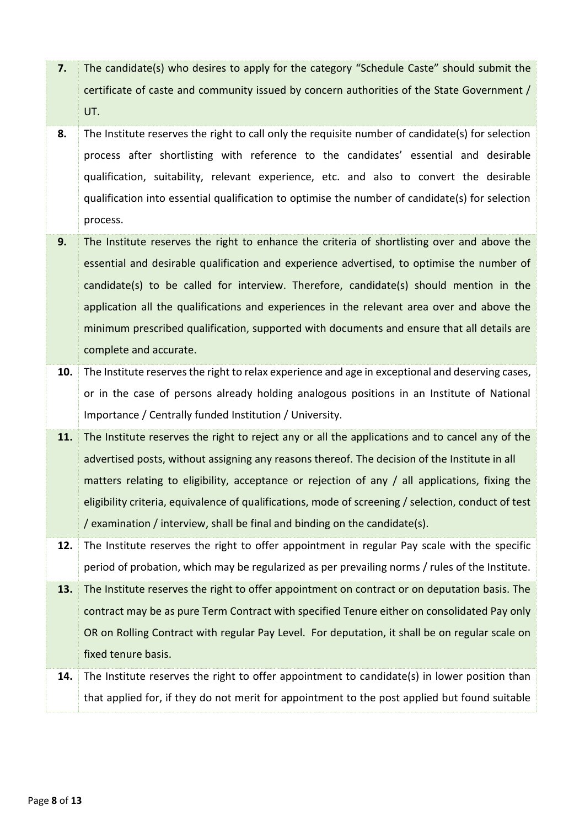- **7.** The candidate(s) who desires to apply for the category "Schedule Caste" should submit the certificate of caste and community issued by concern authorities of the State Government / UT.
- **8.** The Institute reserves the right to call only the requisite number of candidate(s) for selection process after shortlisting with reference to the candidates' essential and desirable qualification, suitability, relevant experience, etc. and also to convert the desirable qualification into essential qualification to optimise the number of candidate(s) for selection process.
- **9.** The Institute reserves the right to enhance the criteria of shortlisting over and above the essential and desirable qualification and experience advertised, to optimise the number of candidate(s) to be called for interview. Therefore, candidate(s) should mention in the application all the qualifications and experiences in the relevant area over and above the minimum prescribed qualification, supported with documents and ensure that all details are complete and accurate.
- **10.** The Institute reserves the right to relax experience and age in exceptional and deserving cases, or in the case of persons already holding analogous positions in an Institute of National Importance / Centrally funded Institution / University.
- **11.** The Institute reserves the right to reject any or all the applications and to cancel any of the advertised posts, without assigning any reasons thereof. The decision of the Institute in all matters relating to eligibility, acceptance or rejection of any / all applications, fixing the eligibility criteria, equivalence of qualifications, mode of screening / selection, conduct of test / examination / interview, shall be final and binding on the candidate(s).
- **12.** The Institute reserves the right to offer appointment in regular Pay scale with the specific period of probation, which may be regularized as per prevailing norms / rules of the Institute.

**13.** The Institute reserves the right to offer appointment on contract or on deputation basis. The contract may be as pure Term Contract with specified Tenure either on consolidated Pay only OR on Rolling Contract with regular Pay Level. For deputation, it shall be on regular scale on fixed tenure basis.

**14.** The Institute reserves the right to offer appointment to candidate(s) in lower position than that applied for, if they do not merit for appointment to the post applied but found suitable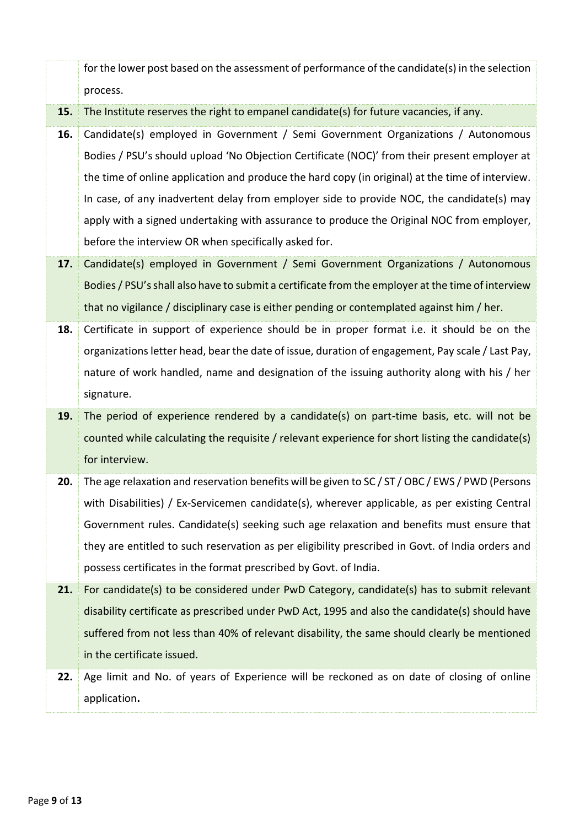for the lower post based on the assessment of performance of the candidate(s) in the selection process.

**15.** The Institute reserves the right to empanel candidate(s) for future vacancies, if any.

- **16.** Candidate(s) employed in Government / Semi Government Organizations / Autonomous Bodies / PSU's should upload 'No Objection Certificate (NOC)' from their present employer at the time of online application and produce the hard copy (in original) at the time of interview. In case, of any inadvertent delay from employer side to provide NOC, the candidate(s) may apply with a signed undertaking with assurance to produce the Original NOC from employer, before the interview OR when specifically asked for.
- **17.** Candidate(s) employed in Government / Semi Government Organizations / Autonomous Bodies / PSU's shall also have to submit a certificate from the employer at the time of interview that no vigilance / disciplinary case is either pending or contemplated against him / her.
- **18.** Certificate in support of experience should be in proper format i.e. it should be on the organizations letter head, bear the date of issue, duration of engagement, Pay scale / Last Pay, nature of work handled, name and designation of the issuing authority along with his / her signature.
- **19.** The period of experience rendered by a candidate(s) on part-time basis, etc. will not be counted while calculating the requisite / relevant experience for short listing the candidate(s) for interview.
- **20.** The age relaxation and reservation benefits will be given to SC / ST / OBC / EWS / PWD (Persons with Disabilities) / Ex-Servicemen candidate(s), wherever applicable, as per existing Central Government rules. Candidate(s) seeking such age relaxation and benefits must ensure that they are entitled to such reservation as per eligibility prescribed in Govt. of India orders and possess certificates in the format prescribed by Govt. of India.

**21.** For candidate(s) to be considered under PwD Category, candidate(s) has to submit relevant disability certificate as prescribed under PwD Act, 1995 and also the candidate(s) should have suffered from not less than 40% of relevant disability, the same should clearly be mentioned in the certificate issued.

**22.** Age limit and No. of years of Experience will be reckoned as on date of closing of online application**.**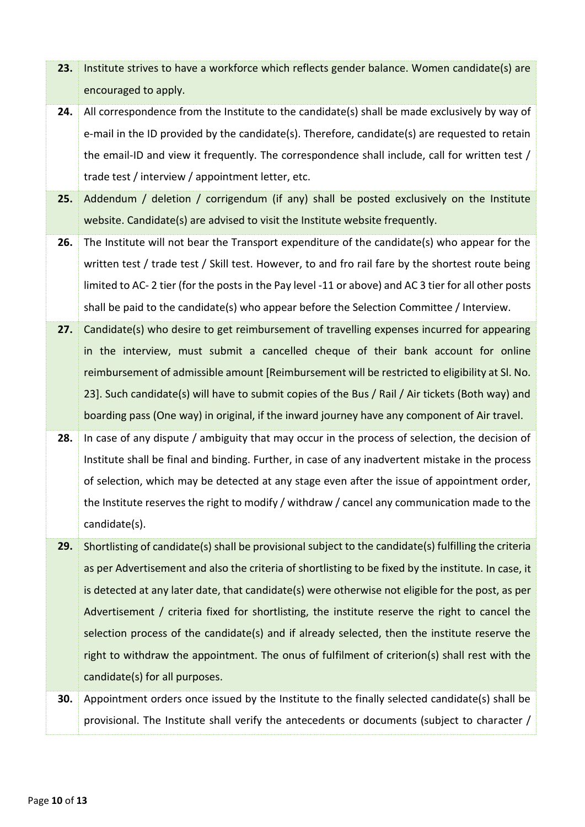encouraged to apply. **24.** All correspondence from the Institute to the candidate(s) shall be made exclusively by way of e-mail in the ID provided by the candidate(s). Therefore, candidate(s) are requested to retain the email-ID and view it frequently. The correspondence shall include, call for written test / trade test / interview / appointment letter, etc. **25.** Addendum / deletion / corrigendum (if any) shall be posted exclusively on the Institute website. Candidate(s) are advised to visit the Institute website frequently. **26.** The Institute will not bear the Transport expenditure of the candidate(s) who appear for the written test / trade test / Skill test. However, to and fro rail fare by the shortest route being limited to AC- 2 tier (for the posts in the Pay level -11 or above) and AC 3 tier for all other posts shall be paid to the candidate(s) who appear before the Selection Committee / Interview. **27.** Candidate(s) who desire to get reimbursement of travelling expenses incurred for appearing in the interview, must submit a cancelled cheque of their bank account for online reimbursement of admissible amount [Reimbursement will be restricted to eligibility at Sl. No. 23]. Such candidate(s) will have to submit copies of the Bus / Rail / Air tickets (Both way) and boarding pass (One way) in original, if the inward journey have any component of Air travel. **28.** In case of any dispute / ambiguity that may occur in the process of selection, the decision of Institute shall be final and binding. Further, in case of any inadvertent mistake in the process of selection, which may be detected at any stage even after the issue of appointment order, the Institute reserves the right to modify / withdraw / cancel any communication made to the candidate(s). **29.** Shortlisting of candidate(s) shall be provisional subject to the candidate(s) fulfilling the criteria as per Advertisement and also the criteria of shortlisting to be fixed by the institute. In case, it is detected at any later date, that candidate(s) were otherwise not eligible for the post, as per Advertisement / criteria fixed for shortlisting, the institute reserve the right to cancel the selection process of the candidate(s) and if already selected, then the institute reserve the right to withdraw the appointment. The onus of fulfilment of criterion(s) shall rest with the

**23.** Institute strives to have a workforce which reflects gender balance. Women candidate(s) are

**30.** Appointment orders once issued by the Institute to the finally selected candidate(s) shall be provisional. The Institute shall verify the antecedents or documents (subject to character /

candidate(s) for all purposes.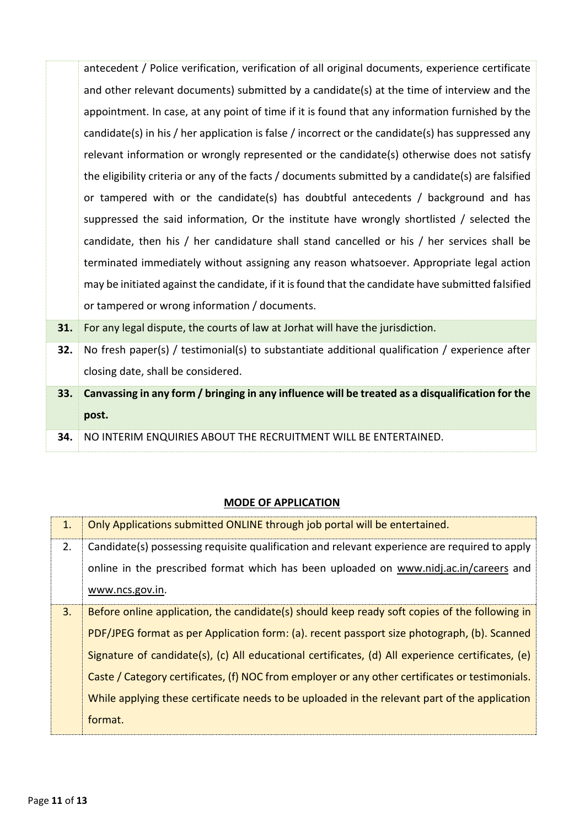|     | antecedent / Police verification, verification of all original documents, experience certificate   |
|-----|----------------------------------------------------------------------------------------------------|
|     | and other relevant documents) submitted by a candidate(s) at the time of interview and the         |
|     | appointment. In case, at any point of time if it is found that any information furnished by the    |
|     | candidate(s) in his / her application is false / incorrect or the candidate(s) has suppressed any  |
|     | relevant information or wrongly represented or the candidate(s) otherwise does not satisfy         |
|     | the eligibility criteria or any of the facts / documents submitted by a candidate(s) are falsified |
|     | or tampered with or the candidate(s) has doubtful antecedents / background and has                 |
|     | suppressed the said information, Or the institute have wrongly shortlisted / selected the          |
|     | candidate, then his / her candidature shall stand cancelled or his / her services shall be         |
|     | terminated immediately without assigning any reason whatsoever. Appropriate legal action           |
|     | may be initiated against the candidate, if it is found that the candidate have submitted falsified |
|     | or tampered or wrong information / documents.                                                      |
| 31. | For any legal dispute, the courts of law at Jorhat will have the jurisdiction.                     |
|     |                                                                                                    |

- **32.** No fresh paper(s) / testimonial(s) to substantiate additional qualification / experience after closing date, shall be considered.
- **33. Canvassing in any form / bringing in any influence will be treated as a disqualification for the post.**
- **34.** NO INTERIM ENQUIRIES ABOUT THE RECRUITMENT WILL BE ENTERTAINED.

# **MODE OF APPLICATION**

| 1. | Only Applications submitted ONLINE through job portal will be entertained.                        |
|----|---------------------------------------------------------------------------------------------------|
| 2. | Candidate(s) possessing requisite qualification and relevant experience are required to apply     |
|    | online in the prescribed format which has been uploaded on www.nidj.ac.in/careers and             |
|    | www.ncs.gov.in.                                                                                   |
| 3. | Before online application, the candidate(s) should keep ready soft copies of the following in     |
|    | PDF/JPEG format as per Application form: (a). recent passport size photograph, (b). Scanned       |
|    | Signature of candidate(s), (c) All educational certificates, (d) All experience certificates, (e) |
|    | Caste / Category certificates, (f) NOC from employer or any other certificates or testimonials.   |
|    | While applying these certificate needs to be uploaded in the relevant part of the application     |
|    | format.                                                                                           |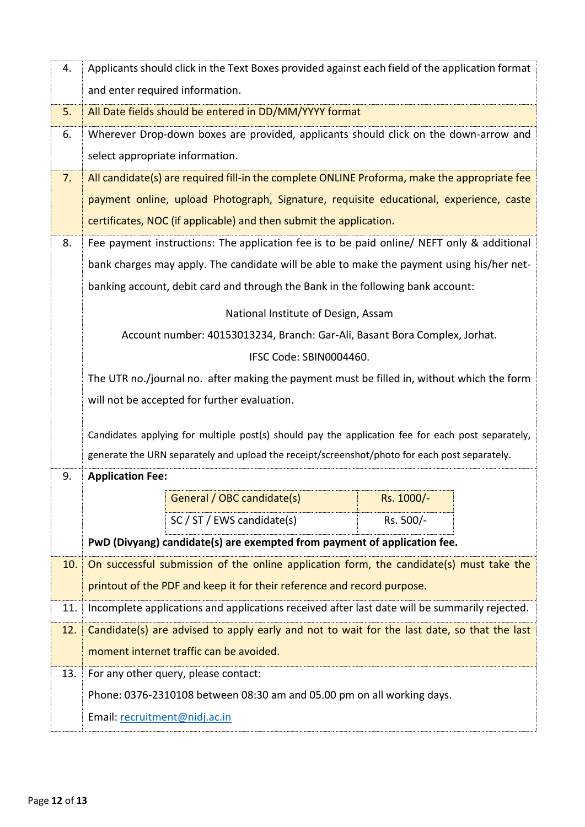| 4.  | Applicants should click in the Text Boxes provided against each field of the application format                                                                                                    |                                                                                            |            |  |  |
|-----|----------------------------------------------------------------------------------------------------------------------------------------------------------------------------------------------------|--------------------------------------------------------------------------------------------|------------|--|--|
|     | and enter required information.                                                                                                                                                                    |                                                                                            |            |  |  |
| 5.  | All Date fields should be entered in DD/MM/YYYY format                                                                                                                                             |                                                                                            |            |  |  |
| 6.  | Wherever Drop-down boxes are provided, applicants should click on the down-arrow and                                                                                                               |                                                                                            |            |  |  |
|     | select appropriate information.                                                                                                                                                                    |                                                                                            |            |  |  |
| 7.  | All candidate(s) are required fill-in the complete ONLINE Proforma, make the appropriate fee                                                                                                       |                                                                                            |            |  |  |
|     | payment online, upload Photograph, Signature, requisite educational, experience, caste                                                                                                             |                                                                                            |            |  |  |
|     | certificates, NOC (if applicable) and then submit the application.                                                                                                                                 |                                                                                            |            |  |  |
| 8.  |                                                                                                                                                                                                    | Fee payment instructions: The application fee is to be paid online/ NEFT only & additional |            |  |  |
|     |                                                                                                                                                                                                    | bank charges may apply. The candidate will be able to make the payment using his/her net-  |            |  |  |
|     | banking account, debit card and through the Bank in the following bank account:                                                                                                                    |                                                                                            |            |  |  |
|     | National Institute of Design, Assam                                                                                                                                                                |                                                                                            |            |  |  |
|     | Account number: 40153013234, Branch: Gar-Ali, Basant Bora Complex, Jorhat.                                                                                                                         |                                                                                            |            |  |  |
|     | IFSC Code: SBIN0004460.                                                                                                                                                                            |                                                                                            |            |  |  |
|     |                                                                                                                                                                                                    | The UTR no./journal no. after making the payment must be filled in, without which the form |            |  |  |
|     | will not be accepted for further evaluation.                                                                                                                                                       |                                                                                            |            |  |  |
|     |                                                                                                                                                                                                    |                                                                                            |            |  |  |
|     | Candidates applying for multiple post(s) should pay the application fee for each post separately,<br>generate the URN separately and upload the receipt/screenshot/photo for each post separately. |                                                                                            |            |  |  |
| 9.  | <b>Application Fee:</b>                                                                                                                                                                            |                                                                                            |            |  |  |
|     |                                                                                                                                                                                                    | General / OBC candidate(s)                                                                 | Rs. 1000/- |  |  |
|     |                                                                                                                                                                                                    | SC / ST / EWS candidate(s)                                                                 | Rs. 500/-  |  |  |
|     |                                                                                                                                                                                                    | PwD (Divyang) candidate(s) are exempted from payment of application fee.                   |            |  |  |
| 10. |                                                                                                                                                                                                    |                                                                                            |            |  |  |
|     | On successful submission of the online application form, the candidate(s) must take the<br>printout of the PDF and keep it for their reference and record purpose.                                 |                                                                                            |            |  |  |
| 11. | Incomplete applications and applications received after last date will be summarily rejected.                                                                                                      |                                                                                            |            |  |  |
| 12. | Candidate(s) are advised to apply early and not to wait for the last date, so that the last                                                                                                        |                                                                                            |            |  |  |
|     |                                                                                                                                                                                                    | moment internet traffic can be avoided.                                                    |            |  |  |
| 13. |                                                                                                                                                                                                    | For any other query, please contact:                                                       |            |  |  |
|     | Phone: 0376-2310108 between 08:30 am and 05.00 pm on all working days.                                                                                                                             |                                                                                            |            |  |  |
|     | Email: recruitment@nidj.ac.in                                                                                                                                                                      |                                                                                            |            |  |  |